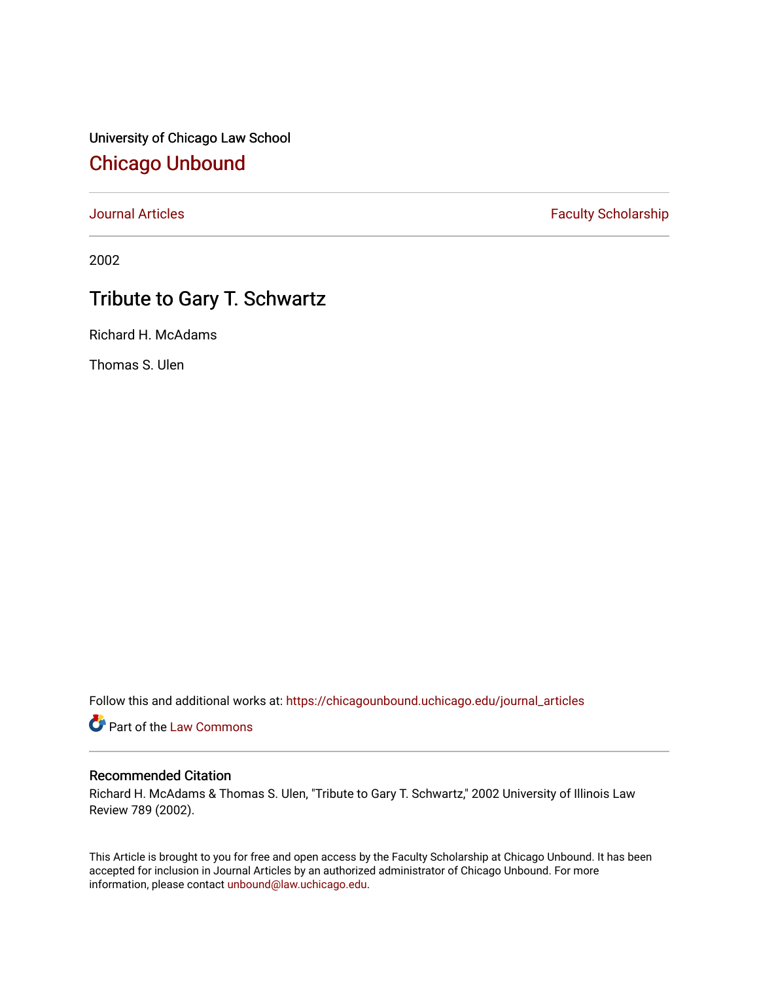University of Chicago Law School [Chicago Unbound](https://chicagounbound.uchicago.edu/)

[Journal Articles](https://chicagounbound.uchicago.edu/journal_articles) **Faculty Scholarship Faculty Scholarship** 

2002

## Tribute to Gary T. Schwartz

Richard H. McAdams

Thomas S. Ulen

Follow this and additional works at: [https://chicagounbound.uchicago.edu/journal\\_articles](https://chicagounbound.uchicago.edu/journal_articles?utm_source=chicagounbound.uchicago.edu%2Fjournal_articles%2F1659&utm_medium=PDF&utm_campaign=PDFCoverPages) 

Part of the [Law Commons](http://network.bepress.com/hgg/discipline/578?utm_source=chicagounbound.uchicago.edu%2Fjournal_articles%2F1659&utm_medium=PDF&utm_campaign=PDFCoverPages)

## Recommended Citation

Richard H. McAdams & Thomas S. Ulen, "Tribute to Gary T. Schwartz," 2002 University of Illinois Law Review 789 (2002).

This Article is brought to you for free and open access by the Faculty Scholarship at Chicago Unbound. It has been accepted for inclusion in Journal Articles by an authorized administrator of Chicago Unbound. For more information, please contact [unbound@law.uchicago.edu](mailto:unbound@law.uchicago.edu).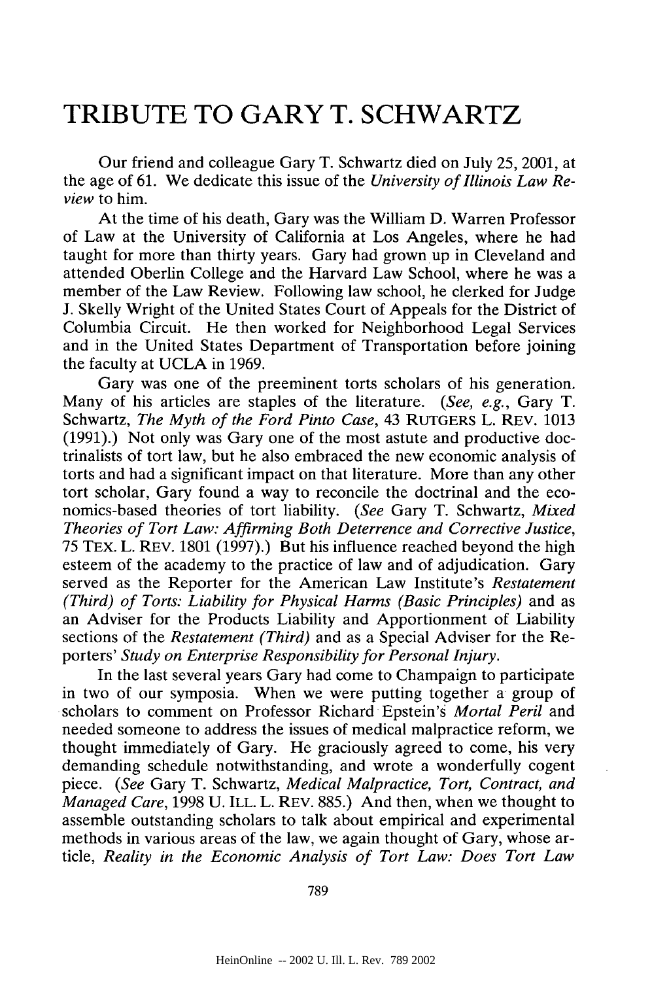## **TRIBUTE TO GARY T. SCHWARTZ**

Our friend and colleague Gary T. Schwartz died on July 25, 2001, at the age of 61. We dedicate this issue of the *University of Illinois Law Review* to him.

At the time of his death, Gary was the William D. Warren Professor of Law at the University of California at Los Angeles, where he had taught for more than thirty years. Gary had grown up in Cleveland and attended Oberlin College and the Harvard Law School, where he was a member of the Law Review. Following law school, he clerked for Judge J. Skelly Wright of the United States Court of Appeals for the District of Columbia Circuit. He then worked for Neighborhood Legal Services and in the United States Department of Transportation before joining the faculty at UCLA in 1969.

Gary was one of the preeminent torts scholars of his generation. Many of his articles are staples of the literature. *(See, e.g.,* Gary T. Schwartz, *The Myth of the Ford Pinto Case,* 43 RUTGERS L. REV. 1013 (1991).) Not only was Gary one of the most astute and productive doctrinalists of tort law, but he also embraced the new economic analysis of torts and had a significant impact on that literature. More than any other tort scholar, Gary found a way to reconcile the doctrinal and the economics-based theories of tort liability. *(See* Gary T. Schwartz, *Mixed Theories of Tort Law: Affirming Both Deterrence and Corrective Justice,* 75 TEx. L. REV. 1801 (1997).) But his influence reached beyond the high esteem of the academy to the practice of law and of adjudication. Gary served as the Reporter for the American Law Institute's *Restatement (Third) of Torts: Liability for Physical Harms (Basic Principles)* and as an Adviser for the Products Liability and Apportionment of Liability sections of the *Restatement (Third)* and as a Special Adviser for the Reporters' *Study on Enterprise Responsibility for Personal Injury.*

In the last several years Gary had come to Champaign to participate in two of our symposia. When we were putting together a group of scholars to comment on Professor Richard Epstein's *Mortal Peril* and needed someone to address the issues of medical malpractice reform, we thought immediately of Gary. He graciously agreed to come, his very demanding schedule notwithstanding, and wrote a wonderfully cogent piece. *(See* Gary T. Schwartz, *Medical Malpractice, Tort, Contract, and Managed Care,* 1998 U. ILL. L. REV. 885.) And then, when we thought to assemble outstanding scholars to talk about empirical and experimental methods in various areas of the law, we again thought of Gary, whose article, *Reality in the Economic Analysis of Tort Law: Does Tort Law*

789